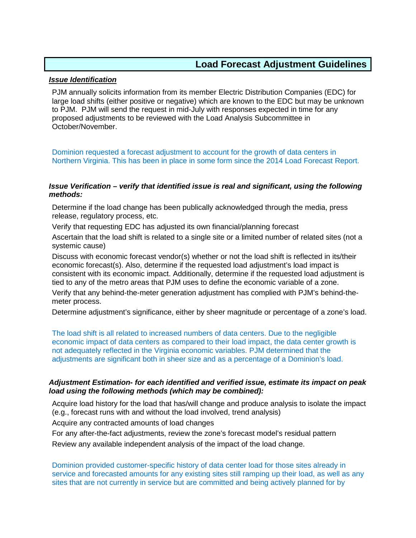## **Load Forecast Adjustment Guidelines**

## *Issue Identification*

PJM annually solicits information from its member Electric Distribution Companies (EDC) for large load shifts (either positive or negative) which are known to the EDC but may be unknown to PJM. PJM will send the request in mid-July with responses expected in time for any proposed adjustments to be reviewed with the Load Analysis Subcommittee in October/November.

Dominion requested a forecast adjustment to account for the growth of data centers in Northern Virginia. This has been in place in some form since the 2014 Load Forecast Report.

## *Issue Verification – verify that identified issue is real and significant, using the following methods:*

Determine if the load change has been publically acknowledged through the media, press release, regulatory process, etc.

Verify that requesting EDC has adjusted its own financial/planning forecast

Ascertain that the load shift is related to a single site or a limited number of related sites (not a systemic cause)

Discuss with economic forecast vendor(s) whether or not the load shift is reflected in its/their economic forecast(s). Also, determine if the requested load adjustment's load impact is consistent with its economic impact. Additionally, determine if the requested load adjustment is tied to any of the metro areas that PJM uses to define the economic variable of a zone.

Verify that any behind-the-meter generation adjustment has complied with PJM's behind-themeter process.

Determine adjustment's significance, either by sheer magnitude or percentage of a zone's load.

The load shift is all related to increased numbers of data centers. Due to the negligible economic impact of data centers as compared to their load impact, the data center growth is not adequately reflected in the Virginia economic variables. PJM determined that the adjustments are significant both in sheer size and as a percentage of a Dominion's load.

## *Adjustment Estimation- for each identified and verified issue, estimate its impact on peak load using the following methods (which may be combined):*

Acquire load history for the load that has/will change and produce analysis to isolate the impact (e.g., forecast runs with and without the load involved, trend analysis)

Acquire any contracted amounts of load changes

For any after-the-fact adjustments, review the zone's forecast model's residual pattern

Review any available independent analysis of the impact of the load change.

Dominion provided customer-specific history of data center load for those sites already in service and forecasted amounts for any existing sites still ramping up their load, as well as any sites that are not currently in service but are committed and being actively planned for by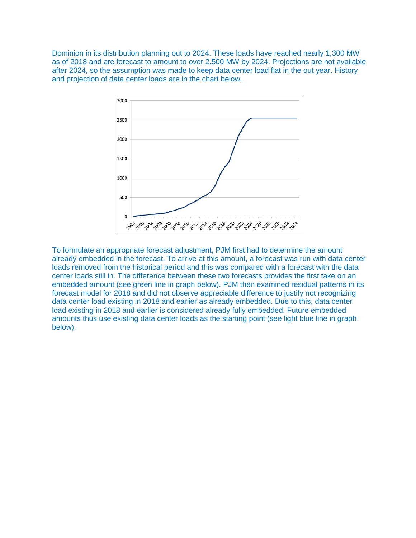Dominion in its distribution planning out to 2024. These loads have reached nearly 1,300 MW as of 2018 and are forecast to amount to over 2,500 MW by 2024. Projections are not available after 2024, so the assumption was made to keep data center load flat in the out year. History and projection of data center loads are in the chart below.



To formulate an appropriate forecast adjustment, PJM first had to determine the amount already embedded in the forecast. To arrive at this amount, a forecast was run with data center loads removed from the historical period and this was compared with a forecast with the data center loads still in. The difference between these two forecasts provides the first take on an embedded amount (see green line in graph below). PJM then examined residual patterns in its forecast model for 2018 and did not observe appreciable difference to justify not recognizing data center load existing in 2018 and earlier as already embedded. Due to this, data center load existing in 2018 and earlier is considered already fully embedded. Future embedded amounts thus use existing data center loads as the starting point (see light blue line in graph below).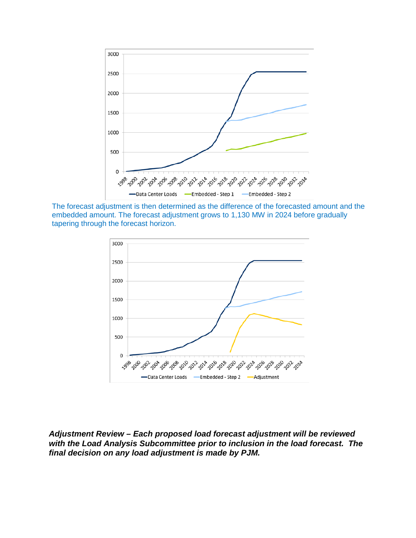

The forecast adjustment is then determined as the difference of the forecasted amount and the embedded amount. The forecast adjustment grows to 1,130 MW in 2024 before gradually tapering through the forecast horizon.



*Adjustment Review – Each proposed load forecast adjustment will be reviewed with the Load Analysis Subcommittee prior to inclusion in the load forecast. The final decision on any load adjustment is made by PJM.*